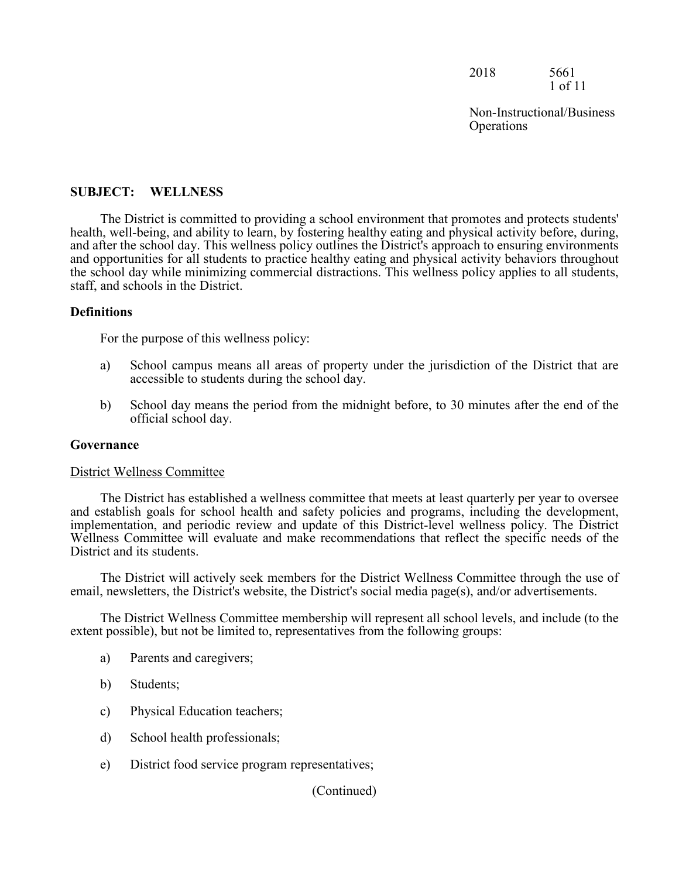2018 5661 1 of 11

Non-Instructional/Business **Operations** 

## **SUBJECT: WELLNESS**

The District is committed to providing a school environment that promotes and protects students' health, well-being, and ability to learn, by fostering healthy eating and physical activity before, during, and after the school day. This wellness policy outlines the District's approach to ensuring environments and opportunities for all students to practice healthy eating and physical activity behaviors throughout the school day while minimizing commercial distractions. This wellness policy applies to all students, staff, and schools in the District.

## **Definitions**

For the purpose of this wellness policy:

- a) School campus means all areas of property under the jurisdiction of the District that are accessible to students during the school day.
- b) School day means the period from the midnight before, to 30 minutes after the end of the official school day.

### **Governance**

#### District Wellness Committee

The District has established a wellness committee that meets at least quarterly per year to oversee and establish goals for school health and safety policies and programs, including the development, implementation, and periodic review and update of this District-level wellness policy. The District Wellness Committee will evaluate and make recommendations that reflect the specific needs of the District and its students.

The District will actively seek members for the District Wellness Committee through the use of email, newsletters, the District's website, the District's social media page(s), and/or advertisements.

The District Wellness Committee membership will represent all school levels, and include (to the extent possible), but not be limited to, representatives from the following groups:

- a) Parents and caregivers;
- b) Students;
- c) Physical Education teachers;
- d) School health professionals;
- e) District food service program representatives;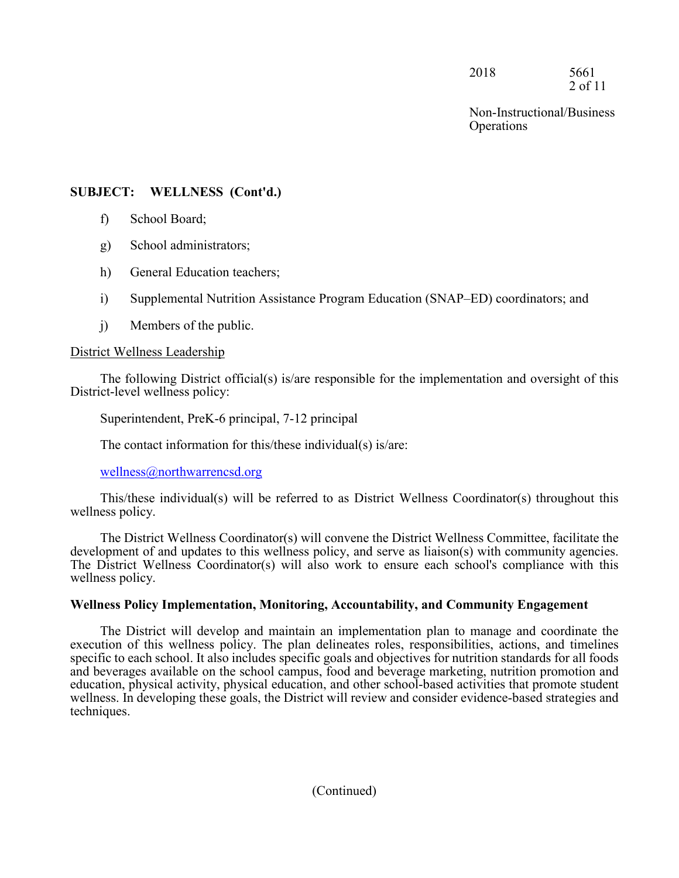2018 5661 2 of 11

Non-Instructional/Business **Operations** 

## **SUBJECT: WELLNESS (Cont'd.)**

- f) School Board;
- g) School administrators;
- h) General Education teachers;
- i) Supplemental Nutrition Assistance Program Education (SNAP–ED) coordinators; and
- j) Members of the public.

## District Wellness Leadership

The following District official(s) is/are responsible for the implementation and oversight of this District-level wellness policy:

Superintendent, PreK-6 principal, 7-12 principal

The contact information for this/these individual(s) is/are:

wellness@northwarrencsd.org

This/these individual(s) will be referred to as District Wellness Coordinator(s) throughout this wellness policy.

The District Wellness Coordinator(s) will convene the District Wellness Committee, facilitate the development of and updates to this wellness policy, and serve as liaison(s) with community agencies. The District Wellness Coordinator(s) will also work to ensure each school's compliance with this wellness policy.

## **Wellness Policy Implementation, Monitoring, Accountability, and Community Engagement**

The District will develop and maintain an implementation plan to manage and coordinate the execution of this wellness policy. The plan delineates roles, responsibilities, actions, and timelines specific to each school. It also includes specific goals and objectives for nutrition standards for all foods and beverages available on the school campus, food and beverage marketing, nutrition promotion and education, physical activity, physical education, and other school-based activities that promote student wellness. In developing these goals, the District will review and consider evidence-based strategies and techniques.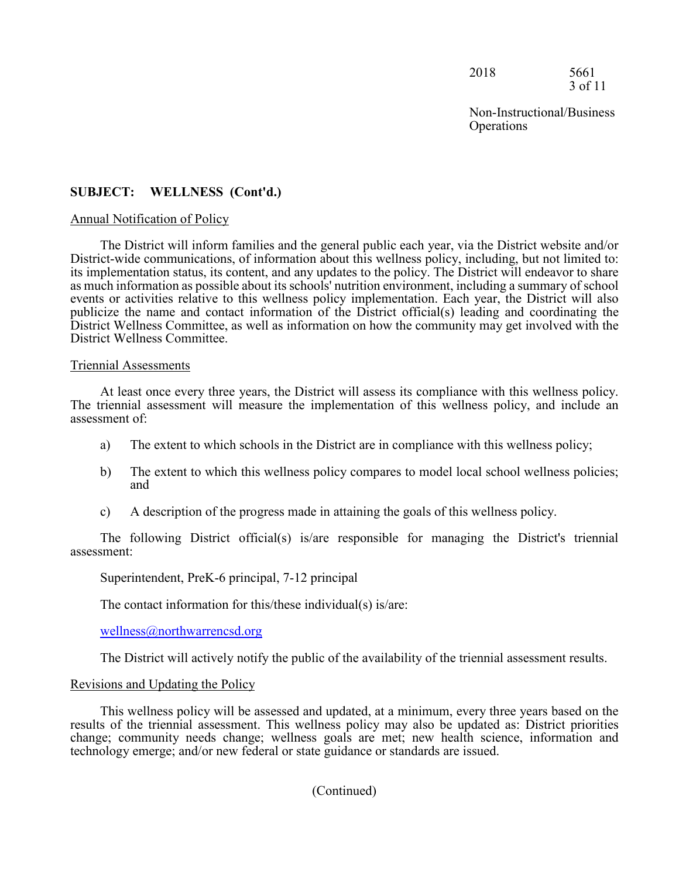2018 5661 3 of 11

Non-Instructional/Business **Operations** 

## **SUBJECT: WELLNESS (Cont'd.)**

#### Annual Notification of Policy

The District will inform families and the general public each year, via the District website and/or District-wide communications, of information about this wellness policy, including, but not limited to: its implementation status, its content, and any updates to the policy. The District will endeavor to share as much information as possible about its schools' nutrition environment, including a summary of school events or activities relative to this wellness policy implementation. Each year, the District will also publicize the name and contact information of the District official(s) leading and coordinating the District Wellness Committee, as well as information on how the community may get involved with the District Wellness Committee.

#### Triennial Assessments

At least once every three years, the District will assess its compliance with this wellness policy. The triennial assessment will measure the implementation of this wellness policy, and include an assessment of:

- a) The extent to which schools in the District are in compliance with this wellness policy;
- b) The extent to which this wellness policy compares to model local school wellness policies; and
- c) A description of the progress made in attaining the goals of this wellness policy.

The following District official(s) is/are responsible for managing the District's triennial assessment:

Superintendent, PreK-6 principal, 7-12 principal

The contact information for this/these individual(s) is/are:

wellness@northwarrencsd.org

The District will actively notify the public of the availability of the triennial assessment results.

### Revisions and Updating the Policy

This wellness policy will be assessed and updated, at a minimum, every three years based on the results of the triennial assessment. This wellness policy may also be updated as: District priorities change; community needs change; wellness goals are met; new health science, information and technology emerge; and/or new federal or state guidance or standards are issued.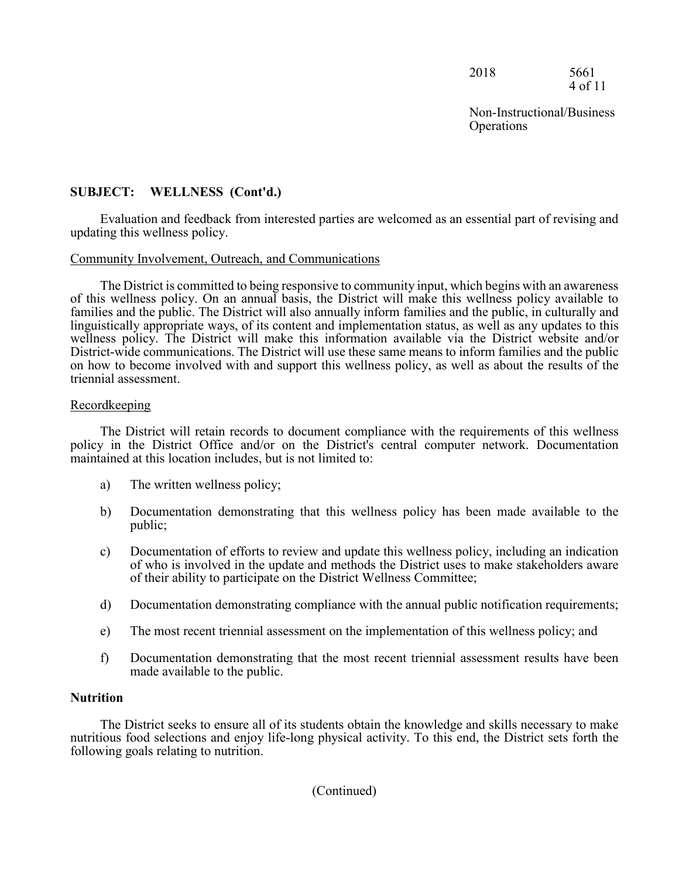2018 5661 4 of 11

Non-Instructional/Business **Operations** 

# **SUBJECT: WELLNESS (Cont'd.)**

Evaluation and feedback from interested parties are welcomed as an essential part of revising and updating this wellness policy.

### Community Involvement, Outreach, and Communications

The District is committed to being responsive to community input, which begins with an awareness of this wellness policy. On an annual basis, the District will make this wellness policy available to families and the public. The District will also annually inform families and the public, in culturally and linguistically appropriate ways, of its content and implementation status, as well as any updates to this wellness policy. The District will make this information available via the District website and/or District-wide communications. The District will use these same means to inform families and the public on how to become involved with and support this wellness policy, as well as about the results of the triennial assessment.

### Recordkeeping

The District will retain records to document compliance with the requirements of this wellness policy in the District Office and/or on the District's central computer network. Documentation maintained at this location includes, but is not limited to:

- a) The written wellness policy;
- b) Documentation demonstrating that this wellness policy has been made available to the public;
- c) Documentation of efforts to review and update this wellness policy, including an indication of who is involved in the update and methods the District uses to make stakeholders aware of their ability to participate on the District Wellness Committee;
- d) Documentation demonstrating compliance with the annual public notification requirements;
- e) The most recent triennial assessment on the implementation of this wellness policy; and
- f) Documentation demonstrating that the most recent triennial assessment results have been made available to the public.

### **Nutrition**

The District seeks to ensure all of its students obtain the knowledge and skills necessary to make nutritious food selections and enjoy life-long physical activity. To this end, the District sets forth the following goals relating to nutrition.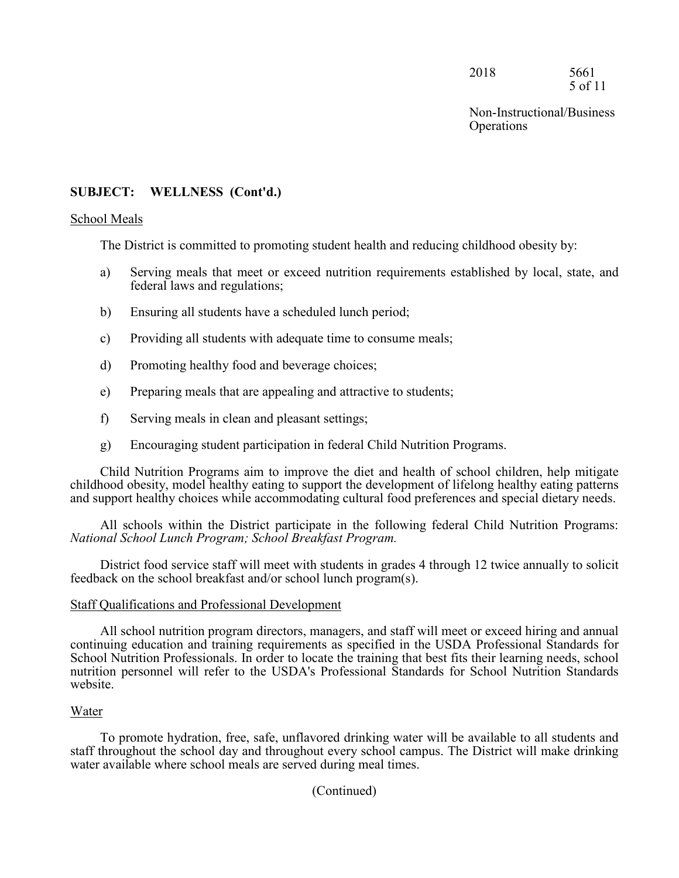2018 5661 5 of 11

Non-Instructional/Business **Operations** 

## **SUBJECT: WELLNESS (Cont'd.)**

#### School Meals

The District is committed to promoting student health and reducing childhood obesity by:

- a) Serving meals that meet or exceed nutrition requirements established by local, state, and federal laws and regulations;
- b) Ensuring all students have a scheduled lunch period;
- c) Providing all students with adequate time to consume meals;
- d) Promoting healthy food and beverage choices;
- e) Preparing meals that are appealing and attractive to students;
- f) Serving meals in clean and pleasant settings;
- g) Encouraging student participation in federal Child Nutrition Programs.

Child Nutrition Programs aim to improve the diet and health of school children, help mitigate childhood obesity, model healthy eating to support the development of lifelong healthy eating patterns and support healthy choices while accommodating cultural food preferences and special dietary needs.

All schools within the District participate in the following federal Child Nutrition Programs: *National School Lunch Program; School Breakfast Program.*

District food service staff will meet with students in grades 4 through 12 twice annually to solicit feedback on the school breakfast and/or school lunch program(s).

### Staff Qualifications and Professional Development

All school nutrition program directors, managers, and staff will meet or exceed hiring and annual continuing education and training requirements as specified in the USDA Professional Standards for School Nutrition Professionals. In order to locate the training that best fits their learning needs, school nutrition personnel will refer to the USDA's Professional Standards for School Nutrition Standards website.

### Water

To promote hydration, free, safe, unflavored drinking water will be available to all students and staff throughout the school day and throughout every school campus. The District will make drinking water available where school meals are served during meal times.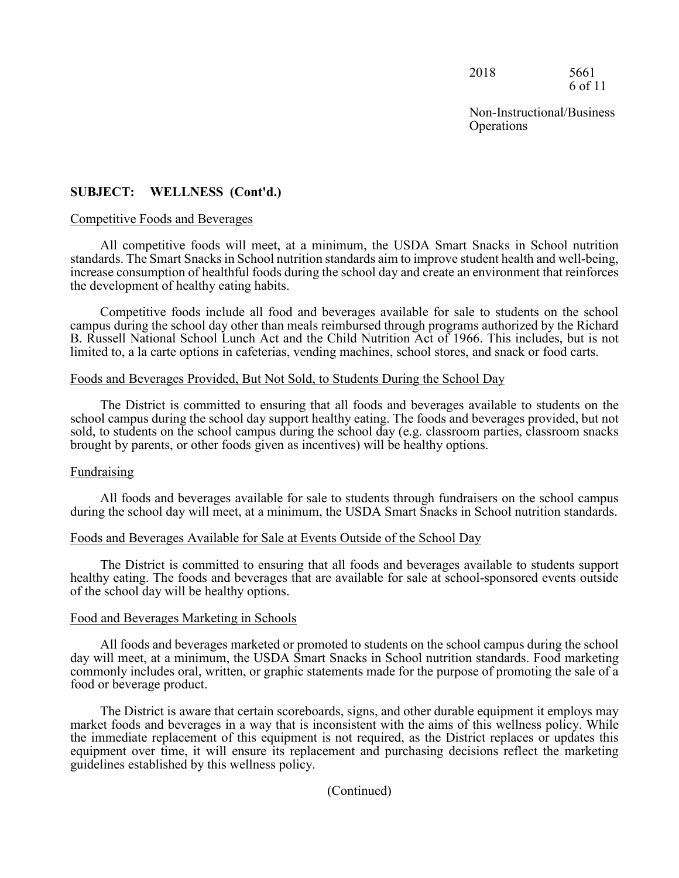2018 5661 6 of 11

Non-Instructional/Business **Operations** 

## **SUBJECT: WELLNESS (Cont'd.)**

#### Competitive Foods and Beverages

All competitive foods will meet, at a minimum, the USDA Smart Snacks in School nutrition standards. The Smart Snacks in School nutrition standards aim to improve student health and well-being, increase consumption of healthful foods during the school day and create an environment that reinforces the development of healthy eating habits.

Competitive foods include all food and beverages available for sale to students on the school campus during the school day other than meals reimbursed through programs authorized by the Richard B. Russell National School Lunch Act and the Child Nutrition Act of 1966. This includes, but is not limited to, a la carte options in cafeterias, vending machines, school stores, and snack or food carts.

#### Foods and Beverages Provided, But Not Sold, to Students During the School Day

The District is committed to ensuring that all foods and beverages available to students on the school campus during the school day support healthy eating. The foods and beverages provided, but not sold, to students on the school campus during the school day (e.g. classroom parties, classroom snacks brought by parents, or other foods given as incentives) will be healthy options.

#### Fundraising

All foods and beverages available for sale to students through fundraisers on the school campus during the school day will meet, at a minimum, the USDA Smart Snacks in School nutrition standards.

#### Foods and Beverages Available for Sale at Events Outside of the School Day

The District is committed to ensuring that all foods and beverages available to students support healthy eating. The foods and beverages that are available for sale at school-sponsored events outside of the school day will be healthy options.

#### Food and Beverages Marketing in Schools

All foods and beverages marketed or promoted to students on the school campus during the school day will meet, at a minimum, the USDA Smart Snacks in School nutrition standards. Food marketing commonly includes oral, written, or graphic statements made for the purpose of promoting the sale of a food or beverage product.

The District is aware that certain scoreboards, signs, and other durable equipment it employs may market foods and beverages in a way that is inconsistent with the aims of this wellness policy. While the immediate replacement of this equipment is not required, as the District replaces or updates this equipment over time, it will ensure its replacement and purchasing decisions reflect the marketing guidelines established by this wellness policy.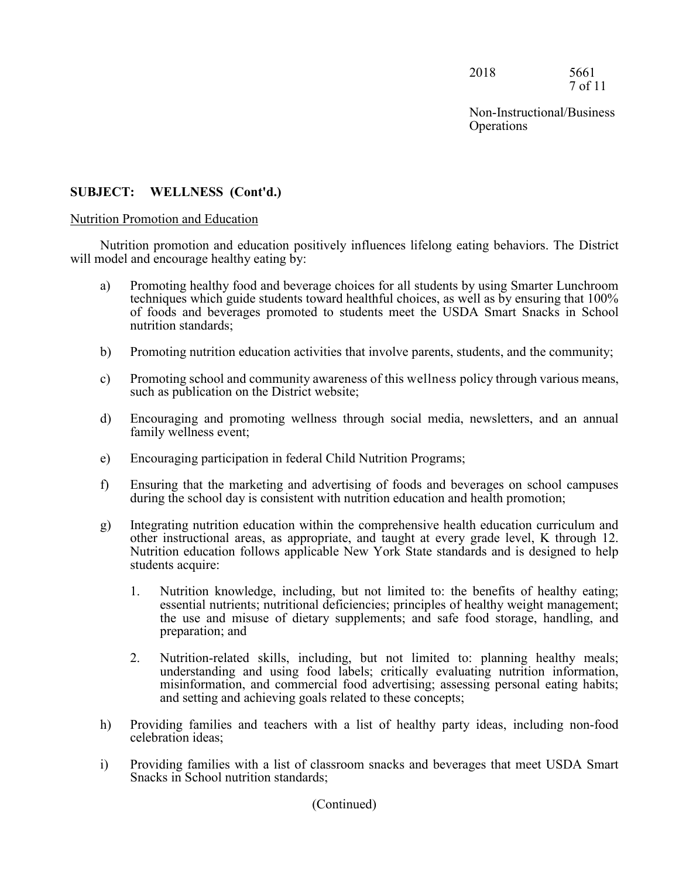2018 5661 7 of 11

Non-Instructional/Business **Operations** 

## **SUBJECT: WELLNESS (Cont'd.)**

#### Nutrition Promotion and Education

Nutrition promotion and education positively influences lifelong eating behaviors. The District will model and encourage healthy eating by:

- a) Promoting healthy food and beverage choices for all students by using Smarter Lunchroom techniques which guide students toward healthful choices, as well as by ensuring that 100% of foods and beverages promoted to students meet the USDA Smart Snacks in School nutrition standards;
- b) Promoting nutrition education activities that involve parents, students, and the community;
- c) Promoting school and community awareness of this wellness policy through various means, such as publication on the District website;
- d) Encouraging and promoting wellness through social media, newsletters, and an annual family wellness event;
- e) Encouraging participation in federal Child Nutrition Programs;
- f) Ensuring that the marketing and advertising of foods and beverages on school campuses during the school day is consistent with nutrition education and health promotion;
- g) Integrating nutrition education within the comprehensive health education curriculum and other instructional areas, as appropriate, and taught at every grade level, K through 12. Nutrition education follows applicable New York State standards and is designed to help students acquire:
	- 1. Nutrition knowledge, including, but not limited to: the benefits of healthy eating; essential nutrients; nutritional deficiencies; principles of healthy weight management; the use and misuse of dietary supplements; and safe food storage, handling, and preparation; and
	- 2. Nutrition-related skills, including, but not limited to: planning healthy meals; understanding and using food labels; critically evaluating nutrition information, misinformation, and commercial food advertising; assessing personal eating habits; and setting and achieving goals related to these concepts;
- h) Providing families and teachers with a list of healthy party ideas, including non-food celebration ideas;
- i) Providing families with a list of classroom snacks and beverages that meet USDA Smart Snacks in School nutrition standards;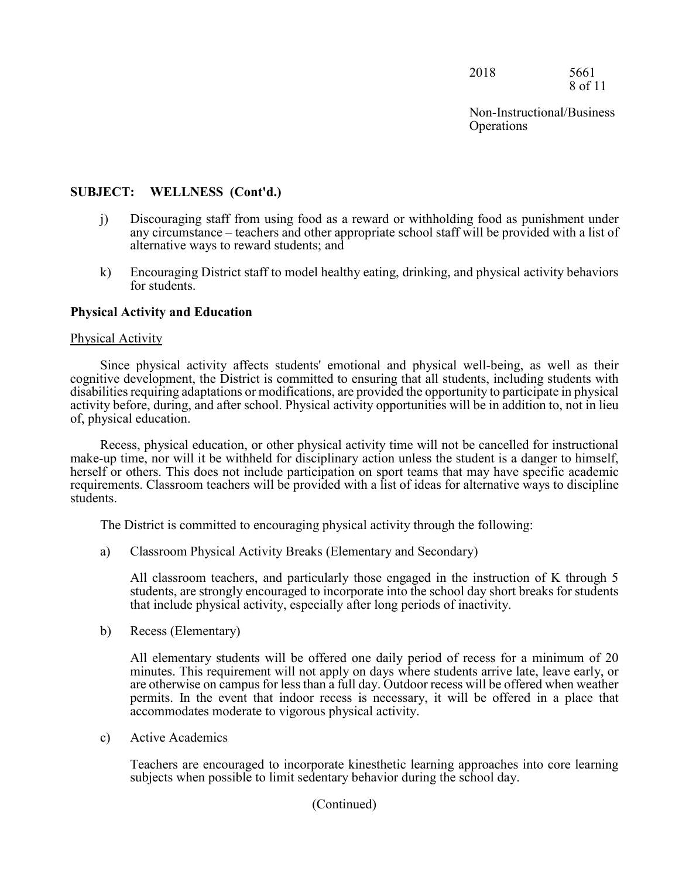2018 5661 8 of 11

Non-Instructional/Business **Operations** 

## **SUBJECT: WELLNESS (Cont'd.)**

- j) Discouraging staff from using food as a reward or withholding food as punishment under any circumstance – teachers and other appropriate school staff will be provided with a list of alternative ways to reward students; and
- k) Encouraging District staff to model healthy eating, drinking, and physical activity behaviors for students.

### **Physical Activity and Education**

#### Physical Activity

Since physical activity affects students' emotional and physical well-being, as well as their cognitive development, the District is committed to ensuring that all students, including students with disabilities requiring adaptations or modifications, are provided the opportunity to participate in physical activity before, during, and after school. Physical activity opportunities will be in addition to, not in lieu of, physical education.

Recess, physical education, or other physical activity time will not be cancelled for instructional make-up time, nor will it be withheld for disciplinary action unless the student is a danger to himself, herself or others. This does not include participation on sport teams that may have specific academic requirements. Classroom teachers will be provided with a list of ideas for alternative ways to discipline students.

The District is committed to encouraging physical activity through the following:

a) Classroom Physical Activity Breaks (Elementary and Secondary)

All classroom teachers, and particularly those engaged in the instruction of K through 5 students, are strongly encouraged to incorporate into the school day short breaks for students that include physical activity, especially after long periods of inactivity.

b) Recess (Elementary)

All elementary students will be offered one daily period of recess for a minimum of 20 minutes. This requirement will not apply on days where students arrive late, leave early, or are otherwise on campus for less than a full day. Outdoor recess will be offered when weather permits. In the event that indoor recess is necessary, it will be offered in a place that accommodates moderate to vigorous physical activity.

c) Active Academics

Teachers are encouraged to incorporate kinesthetic learning approaches into core learning subjects when possible to limit sedentary behavior during the school day.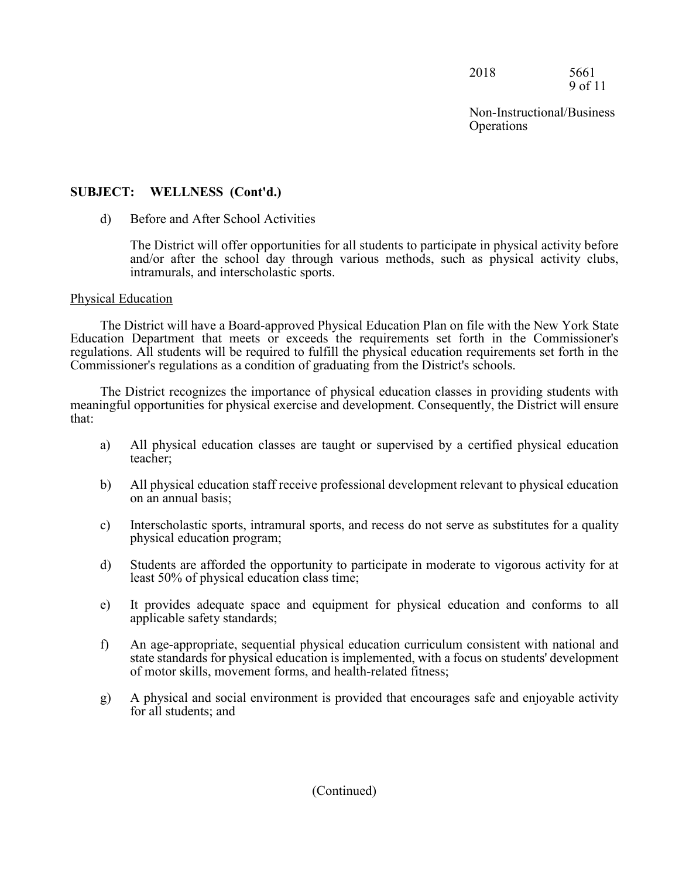2018 5661 9 of 11

Non-Instructional/Business **Operations** 

## **SUBJECT: WELLNESS (Cont'd.)**

## d) Before and After School Activities

The District will offer opportunities for all students to participate in physical activity before and/or after the school day through various methods, such as physical activity clubs, intramurals, and interscholastic sports.

## Physical Education

The District will have a Board-approved Physical Education Plan on file with the New York State Education Department that meets or exceeds the requirements set forth in the Commissioner's regulations. All students will be required to fulfill the physical education requirements set forth in the Commissioner's regulations as a condition of graduating from the District's schools.

The District recognizes the importance of physical education classes in providing students with meaningful opportunities for physical exercise and development. Consequently, the District will ensure that:

- a) All physical education classes are taught or supervised by a certified physical education teacher;
- b) All physical education staff receive professional development relevant to physical education on an annual basis;
- c) Interscholastic sports, intramural sports, and recess do not serve as substitutes for a quality physical education program;
- d) Students are afforded the opportunity to participate in moderate to vigorous activity for at least 50% of physical education class time;
- e) It provides adequate space and equipment for physical education and conforms to all applicable safety standards;
- f) An age-appropriate, sequential physical education curriculum consistent with national and state standards for physical education is implemented, with a focus on students' development of motor skills, movement forms, and health-related fitness;
- g) A physical and social environment is provided that encourages safe and enjoyable activity for all students; and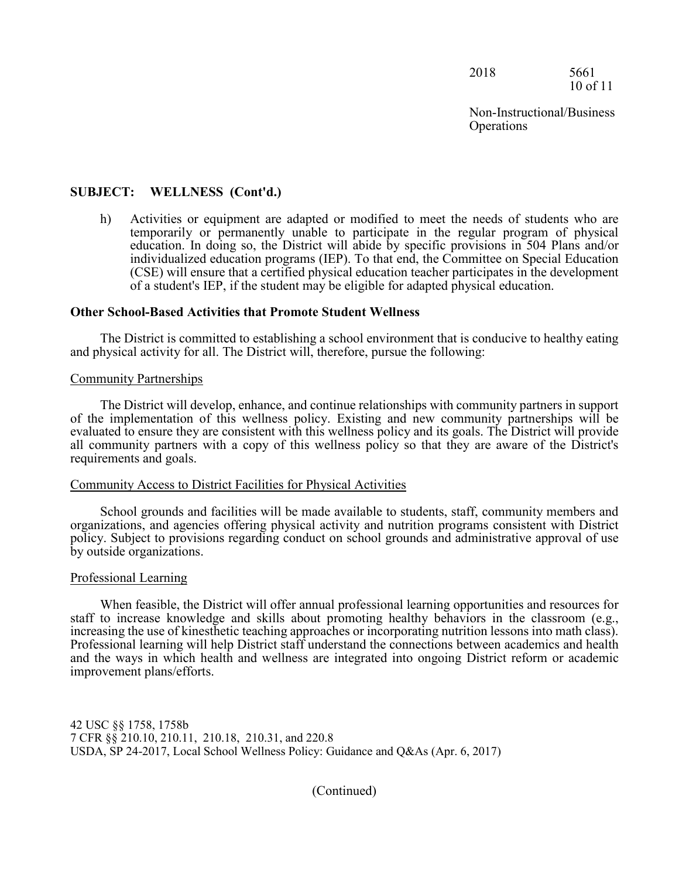2018 5661 10 of 11

## **SUBJECT: WELLNESS (Cont'd.)**

h) Activities or equipment are adapted or modified to meet the needs of students who are temporarily or permanently unable to participate in the regular program of physical education. In doing so, the District will abide by specific provisions in 504 Plans and/or individualized education programs (IEP). To that end, the Committee on Special Education (CSE) will ensure that a certified physical education teacher participates in the development of a student's IEP, if the student may be eligible for adapted physical education.

#### **Other School-Based Activities that Promote Student Wellness**

The District is committed to establishing a school environment that is conducive to healthy eating and physical activity for all. The District will, therefore, pursue the following:

#### Community Partnerships

The District will develop, enhance, and continue relationships with community partners in support of the implementation of this wellness policy. Existing and new community partnerships will be evaluated to ensure they are consistent with this wellness policy and its goals. The District will provide all community partners with a copy of this wellness policy so that they are aware of the District's requirements and goals.

#### Community Access to District Facilities for Physical Activities

School grounds and facilities will be made available to students, staff, community members and organizations, and agencies offering physical activity and nutrition programs consistent with District policy. Subject to provisions regarding conduct on school grounds and administrative approval of use by outside organizations.

#### Professional Learning

When feasible, the District will offer annual professional learning opportunities and resources for staff to increase knowledge and skills about promoting healthy behaviors in the classroom (e.g., increasing the use of kinesthetic teaching approaches or incorporating nutrition lessons into math class). Professional learning will help District staff understand the connections between academics and health and the ways in which health and wellness are integrated into ongoing District reform or academic improvement plans/efforts.

42 USC §§ 1758, 1758b 7 CFR §§ 210.10, 210.11, 210.18, 210.31, and 220.8 USDA, SP 24-2017, Local School Wellness Policy: Guidance and Q&As (Apr. 6, 2017)